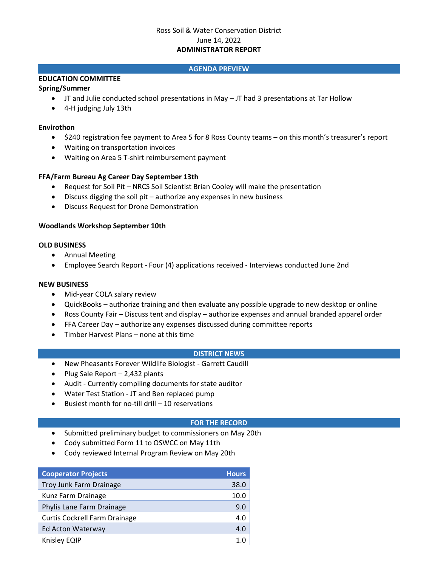# Ross Soil & Water Conservation District June 14, 2022 **ADMINISTRATOR REPORT**

## **AGENDA PREVIEW**

# **EDUCATION COMMITTEE**

## **Spring/Summer**

- JT and Julie conducted school presentations in May JT had 3 presentations at Tar Hollow
- 4-H judging July 13th

## **Envirothon**

- \$240 registration fee payment to Area 5 for 8 Ross County teams on this month's treasurer's report
- Waiting on transportation invoices
- Waiting on Area 5 T-shirt reimbursement payment

## **FFA/Farm Bureau Ag Career Day September 13th**

- Request for Soil Pit NRCS Soil Scientist Brian Cooley will make the presentation
- Discuss digging the soil pit authorize any expenses in new business
- Discuss Request for Drone Demonstration

### **Woodlands Workshop September 10th**

### **OLD BUSINESS**

- Annual Meeting
- Employee Search Report Four (4) applications received Interviews conducted June 2nd

#### **NEW BUSINESS**

- Mid-year COLA salary review
- QuickBooks authorize training and then evaluate any possible upgrade to new desktop or online
- Ross County Fair Discuss tent and display authorize expenses and annual branded apparel order
- FFA Career Day authorize any expenses discussed during committee reports
- Timber Harvest Plans none at this time

#### **DISTRICT NEWS**

- New Pheasants Forever Wildlife Biologist Garrett Caudill
- Plug Sale Report 2,432 plants
- Audit Currently compiling documents for state auditor
- Water Test Station JT and Ben replaced pump
- Busiest month for no-till drill 10 reservations

#### **FOR THE RECORD**

- Submitted preliminary budget to commissioners on May 20th
- Cody submitted Form 11 to OSWCC on May 11th
- Cody reviewed Internal Program Review on May 20th

| <b>Cooperator Projects</b>           | <b>Hours</b> |
|--------------------------------------|--------------|
| Troy Junk Farm Drainage              | 38.0         |
| Kunz Farm Drainage                   | 10.0         |
| Phylis Lane Farm Drainage            | 9.0          |
| <b>Curtis Cockrell Farm Drainage</b> | 4.0          |
| Ed Acton Waterway                    | 4.0          |
| Knisley EQIP                         |              |